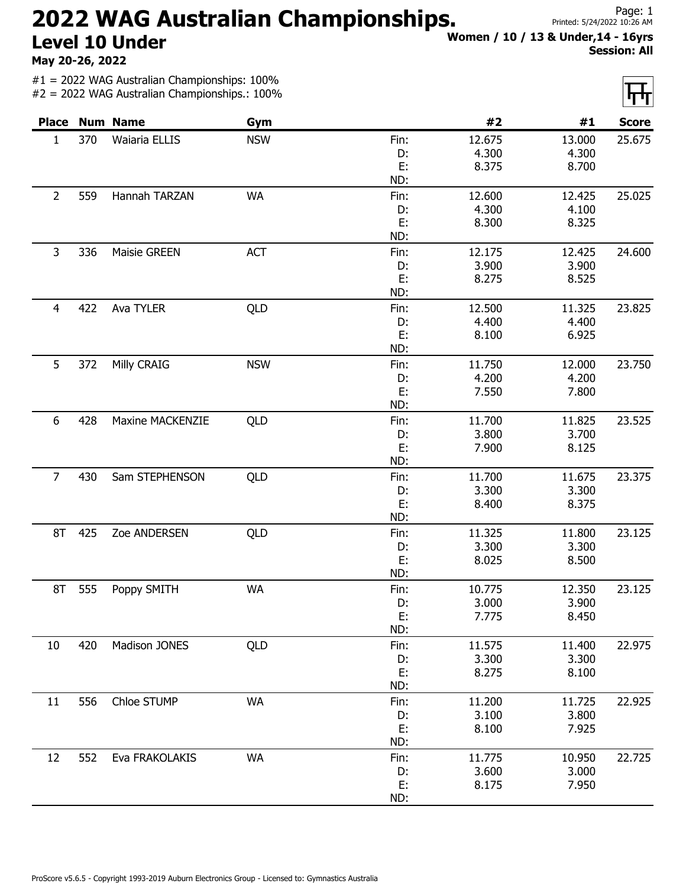## 2022 WAG Australian Championships. Level 10 Under

May 20-26, 2022

#1 = 2022 WAG Australian Championships: 100%

|                |     | <b>Place Num Name</b>   | Gym        |      | #2     | #1     | <b>Score</b> |
|----------------|-----|-------------------------|------------|------|--------|--------|--------------|
| 1              | 370 | Waiaria ELLIS           | <b>NSW</b> | Fin: | 12.675 | 13.000 | 25.675       |
|                |     |                         |            | D:   | 4.300  | 4.300  |              |
|                |     |                         |            | E:   | 8.375  | 8.700  |              |
|                |     |                         |            | ND:  |        |        |              |
| $\overline{2}$ | 559 | Hannah TARZAN           | WA         | Fin: | 12.600 | 12.425 | 25.025       |
|                |     |                         |            | D:   | 4.300  | 4.100  |              |
|                |     |                         |            | E:   | 8.300  | 8.325  |              |
|                |     |                         |            | ND:  |        |        |              |
| 3              | 336 | Maisie GREEN            | <b>ACT</b> | Fin: | 12.175 | 12.425 | 24.600       |
|                |     |                         |            | D:   | 3.900  | 3.900  |              |
|                |     |                         |            | E:   | 8.275  | 8.525  |              |
|                |     |                         |            | ND:  |        |        |              |
| 4              | 422 | Ava TYLER               | QLD        | Fin: | 12.500 | 11.325 | 23.825       |
|                |     |                         |            | D:   | 4.400  | 4.400  |              |
|                |     |                         |            | E:   | 8.100  | 6.925  |              |
|                |     |                         |            | ND:  |        |        |              |
| 5              | 372 | Milly CRAIG             | <b>NSW</b> | Fin: | 11.750 | 12.000 | 23.750       |
|                |     |                         |            | D:   | 4.200  | 4.200  |              |
|                |     |                         |            | E:   | 7.550  | 7.800  |              |
|                |     |                         |            | ND:  |        |        |              |
| 6              | 428 | <b>Maxine MACKENZIE</b> | QLD        | Fin: | 11.700 | 11.825 | 23.525       |
|                |     |                         |            | D:   | 3.800  | 3.700  |              |
|                |     |                         |            | E:   | 7.900  | 8.125  |              |
|                |     |                         |            | ND:  |        |        |              |
| $\overline{7}$ | 430 | Sam STEPHENSON          | QLD        | Fin: | 11.700 | 11.675 | 23.375       |
|                |     |                         |            | D:   | 3.300  | 3.300  |              |
|                |     |                         |            | E:   | 8.400  | 8.375  |              |
|                |     |                         |            | ND:  |        |        |              |
| 8T             | 425 | Zoe ANDERSEN            | QLD        | Fin: | 11.325 | 11.800 | 23.125       |
|                |     |                         |            | D:   | 3.300  | 3.300  |              |
|                |     |                         |            | E:   | 8.025  | 8.500  |              |
|                |     |                         |            | ND:  |        |        |              |
| 8T             | 555 | Poppy SMITH             | <b>WA</b>  | Fin: | 10.775 | 12.350 | 23.125       |
|                |     |                         |            | D:   | 3.000  | 3.900  |              |
|                |     |                         |            | E:   | 7.775  | 8.450  |              |
|                |     |                         |            | ND:  |        |        |              |
| 10             | 420 | Madison JONES           | QLD        | Fin: | 11.575 | 11.400 | 22.975       |
|                |     |                         |            | D:   | 3.300  | 3.300  |              |
|                |     |                         |            | E:   | 8.275  | 8.100  |              |
|                |     |                         |            | ND:  |        |        |              |
| 11             | 556 | Chloe STUMP             | <b>WA</b>  | Fin: | 11.200 | 11.725 | 22.925       |
|                |     |                         |            | D:   | 3.100  | 3.800  |              |
|                |     |                         |            | E:   | 8.100  | 7.925  |              |
|                |     |                         |            | ND:  |        |        |              |
| 12             | 552 | Eva FRAKOLAKIS          | <b>WA</b>  | Fin: | 11.775 | 10.950 | 22.725       |
|                |     |                         |            | D:   | 3.600  | 3.000  |              |
|                |     |                         |            | E:   | 8.175  | 7.950  |              |
|                |     |                         |            | ND:  |        |        |              |



Page: 1

Printed: 5/24/2022 10:26 AM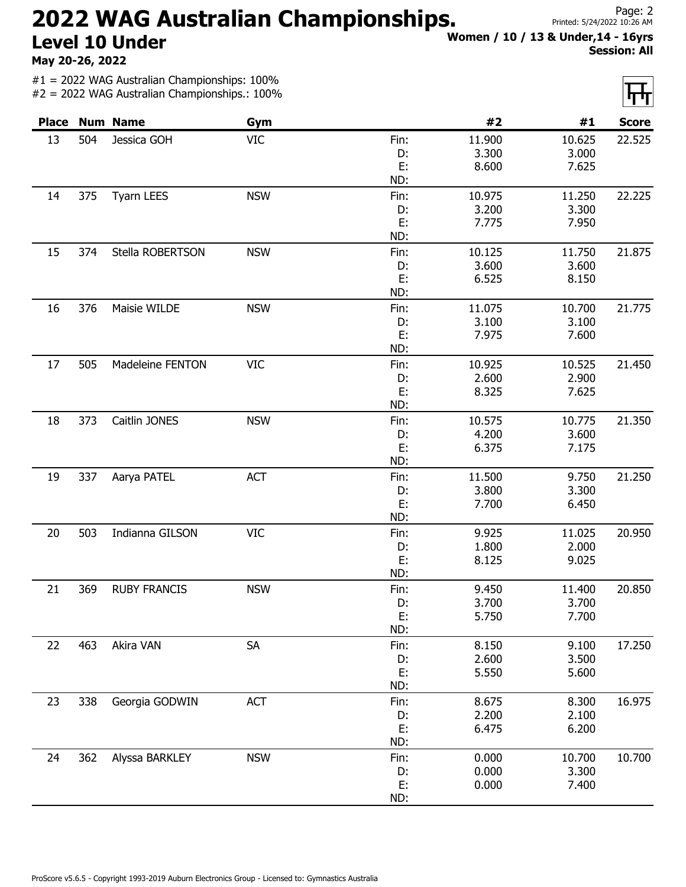## 2022 WAG Australian Championships. Level 10 Under

May 20-26, 2022

#1 = 2022 WAG Australian Championships: 100%

| <b>Place</b> |     | <b>Num Name</b>     | Gym        |            | #2             | #1             | <b>Score</b> |
|--------------|-----|---------------------|------------|------------|----------------|----------------|--------------|
| 13           | 504 | Jessica GOH         | <b>VIC</b> | Fin:       | 11.900         | 10.625         | 22.525       |
|              |     |                     |            | D:         | 3.300          | 3.000          |              |
|              |     |                     |            | E:         | 8.600          | 7.625          |              |
|              |     |                     |            | ND:        |                |                |              |
| 14           | 375 | <b>Tyarn LEES</b>   | <b>NSW</b> | Fin:       | 10.975         | 11.250         | 22.225       |
|              |     |                     |            | D:         | 3.200          | 3.300          |              |
|              |     |                     |            | Е:         | 7.775          | 7.950          |              |
|              |     |                     |            | ND:        |                |                |              |
| 15           | 374 | Stella ROBERTSON    | <b>NSW</b> | Fin:       | 10.125         | 11.750         | 21.875       |
|              |     |                     |            | D:         | 3.600          | 3.600          |              |
|              |     |                     |            | E:         | 6.525          | 8.150          |              |
|              |     |                     |            | ND:        |                |                |              |
| 16           | 376 | Maisie WILDE        | <b>NSW</b> | Fin:       | 11.075         | 10.700         | 21.775       |
|              |     |                     |            | D:         | 3.100          | 3.100          |              |
|              |     |                     |            | E:         | 7.975          | 7.600          |              |
|              |     |                     |            | ND:        |                |                |              |
| 17           | 505 | Madeleine FENTON    | <b>VIC</b> | Fin:       | 10.925         | 10.525         | 21.450       |
|              |     |                     |            | D:         | 2.600          | 2.900          |              |
|              |     |                     |            | E:         | 8.325          | 7.625          |              |
|              |     |                     |            | ND:        |                |                |              |
| 18           | 373 | Caitlin JONES       | <b>NSW</b> | Fin:       | 10.575         | 10.775         | 21.350       |
|              |     |                     |            | D:         | 4.200          | 3.600          |              |
|              |     |                     |            | E:         | 6.375          | 7.175          |              |
|              |     |                     |            | ND:        |                |                |              |
| 19           | 337 | Aarya PATEL         | <b>ACT</b> | Fin:       | 11.500         | 9.750          | 21.250       |
|              |     |                     |            | D:         | 3.800          | 3.300          |              |
|              |     |                     |            | E:         | 7.700          | 6.450          |              |
|              |     |                     |            | ND:        |                |                |              |
| 20           | 503 | Indianna GILSON     | <b>VIC</b> | Fin:       | 9.925          | 11.025         | 20.950       |
|              |     |                     |            | D:         | 1.800          | 2.000          |              |
|              |     |                     |            | E:<br>ND:  | 8.125          | 9.025          |              |
|              |     |                     |            |            |                |                |              |
| 21           | 369 | <b>RUBY FRANCIS</b> | <b>NSW</b> | Fin:       | 9.450          | 11.400         | 20.850       |
|              |     |                     |            | D:<br>E:   | 3.700<br>5.750 | 3.700<br>7.700 |              |
|              |     |                     |            | ND:        |                |                |              |
| 22           | 463 | Akira VAN           | <b>SA</b>  | Fin:       | 8.150          | 9.100          | 17.250       |
|              |     |                     |            | D:         | 2.600          | 3.500          |              |
|              |     |                     |            | E:         | 5.550          | 5.600          |              |
|              |     |                     |            | ND:        |                |                |              |
|              | 338 | Georgia GODWIN      | <b>ACT</b> |            | 8.675          | 8.300          | 16.975       |
| 23           |     |                     |            | Fin:<br>D: | 2.200          | 2.100          |              |
|              |     |                     |            | Ε.         | 6.475          | 6.200          |              |
|              |     |                     |            | ND:        |                |                |              |
| 24           | 362 | Alyssa BARKLEY      | <b>NSW</b> | Fin:       | 0.000          | 10.700         | 10.700       |
|              |     |                     |            | D:         | 0.000          | 3.300          |              |
|              |     |                     |            |            |                |                |              |
|              |     |                     |            | E:         | 0.000          | 7.400          |              |